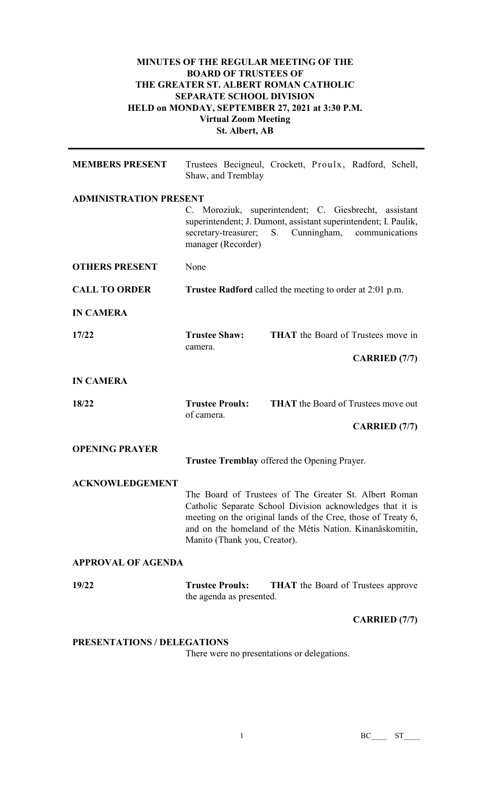## **MINUTES OF THE REGULAR MEETING OF THE BOARD OF TRUSTEES OF THE GREATER ST. ALBERT ROMAN CATHOLIC SEPARATE SCHOOL DIVISION HELD on MONDAY, SEPTEMBER 27, 2021 at 3:30 P.M. Virtual Zoom Meeting St. Albert, AB**

| <b>MEMBERS PRESENT</b>        | Shaw, and Tremblay                                                                                                                                                                                                                                                              | Trustees Becigneul, Crockett, Proulx, Radford, Schell,                                                                                                       |  |
|-------------------------------|---------------------------------------------------------------------------------------------------------------------------------------------------------------------------------------------------------------------------------------------------------------------------------|--------------------------------------------------------------------------------------------------------------------------------------------------------------|--|
| <b>ADMINISTRATION PRESENT</b> |                                                                                                                                                                                                                                                                                 |                                                                                                                                                              |  |
|                               | secretary-treasurer;<br>manager (Recorder)                                                                                                                                                                                                                                      | C. Moroziuk, superintendent; C. Giesbrecht, assistant<br>superintendent; J. Dumont, assistant superintendent; I. Paulik,<br>Cunningham, communications<br>S. |  |
| <b>OTHERS PRESENT</b>         | None                                                                                                                                                                                                                                                                            |                                                                                                                                                              |  |
| <b>CALL TO ORDER</b>          |                                                                                                                                                                                                                                                                                 | <b>Trustee Radford</b> called the meeting to order at 2:01 p.m.                                                                                              |  |
| <b>IN CAMERA</b>              |                                                                                                                                                                                                                                                                                 |                                                                                                                                                              |  |
| 17/22                         | <b>Trustee Shaw:</b>                                                                                                                                                                                                                                                            | <b>THAT</b> the Board of Trustees move in                                                                                                                    |  |
|                               | camera.                                                                                                                                                                                                                                                                         | <b>CARRIED</b> (7/7)                                                                                                                                         |  |
| <b>IN CAMERA</b>              |                                                                                                                                                                                                                                                                                 |                                                                                                                                                              |  |
| 18/22                         | <b>Trustee Proulx:</b><br>of camera.                                                                                                                                                                                                                                            | <b>THAT</b> the Board of Trustees move out                                                                                                                   |  |
|                               |                                                                                                                                                                                                                                                                                 | <b>CARRIED</b> (7/7)                                                                                                                                         |  |
| <b>OPENING PRAYER</b>         |                                                                                                                                                                                                                                                                                 | Trustee Tremblay offered the Opening Prayer.                                                                                                                 |  |
| <b>ACKNOWLEDGEMENT</b>        |                                                                                                                                                                                                                                                                                 |                                                                                                                                                              |  |
|                               | The Board of Trustees of The Greater St. Albert Roman<br>Catholic Separate School Division acknowledges that it is<br>meeting on the original lands of the Cree, those of Treaty 6,<br>and on the homeland of the Métis Nation. Kinanâskomitin,<br>Manito (Thank you, Creator). |                                                                                                                                                              |  |
| <b>APPROVAL OF AGENDA</b>     |                                                                                                                                                                                                                                                                                 |                                                                                                                                                              |  |
| 19/22                         | <b>Trustee Proulx:</b><br>the agenda as presented.                                                                                                                                                                                                                              | <b>THAT</b> the Board of Trustees approve                                                                                                                    |  |
|                               |                                                                                                                                                                                                                                                                                 | <b>CARRIED</b> (7/7)                                                                                                                                         |  |

## **PRESENTATIONS / DELEGATIONS**

There were no presentations or delegations.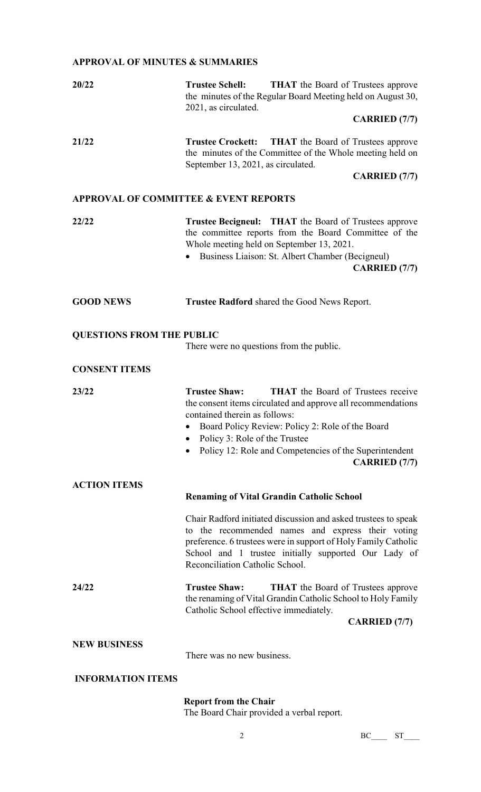## **APPROVAL OF MINUTES & SUMMARIES**

| 20/22                                            | <b>Trustee Schell:</b><br><b>THAT</b> the Board of Trustees approve<br>the minutes of the Regular Board Meeting held on August 30,<br>2021, as circulated.<br><b>CARRIED (7/7)</b>                                                                                                                                                        |  |  |
|--------------------------------------------------|-------------------------------------------------------------------------------------------------------------------------------------------------------------------------------------------------------------------------------------------------------------------------------------------------------------------------------------------|--|--|
|                                                  |                                                                                                                                                                                                                                                                                                                                           |  |  |
| 21/22                                            | <b>Trustee Crockett:</b><br><b>THAT</b> the Board of Trustees approve<br>the minutes of the Committee of the Whole meeting held on<br>September 13, 2021, as circulated.                                                                                                                                                                  |  |  |
|                                                  | <b>CARRIED (7/7)</b>                                                                                                                                                                                                                                                                                                                      |  |  |
| <b>APPROVAL OF COMMITTEE &amp; EVENT REPORTS</b> |                                                                                                                                                                                                                                                                                                                                           |  |  |
| 22/22                                            | <b>Trustee Becigneul:</b> THAT the Board of Trustees approve<br>the committee reports from the Board Committee of the<br>Whole meeting held on September 13, 2021.<br>Business Liaison: St. Albert Chamber (Becigneul)<br><b>CARRIED</b> (7/7)                                                                                            |  |  |
| <b>GOOD NEWS</b>                                 | <b>Trustee Radford</b> shared the Good News Report.                                                                                                                                                                                                                                                                                       |  |  |
| <b>QUESTIONS FROM THE PUBLIC</b>                 |                                                                                                                                                                                                                                                                                                                                           |  |  |
|                                                  | There were no questions from the public.                                                                                                                                                                                                                                                                                                  |  |  |
| <b>CONSENT ITEMS</b>                             |                                                                                                                                                                                                                                                                                                                                           |  |  |
| 23/22                                            | <b>Trustee Shaw:</b><br><b>THAT</b> the Board of Trustees receive<br>the consent items circulated and approve all recommendations<br>contained therein as follows:<br>Board Policy Review: Policy 2: Role of the Board<br>Policy 3: Role of the Trustee<br>Policy 12: Role and Competencies of the Superintendent<br><b>CARRIED</b> (7/7) |  |  |
| <b>ACTION ITEMS</b>                              |                                                                                                                                                                                                                                                                                                                                           |  |  |
|                                                  | <b>Renaming of Vital Grandin Catholic School</b>                                                                                                                                                                                                                                                                                          |  |  |
|                                                  | Chair Radford initiated discussion and asked trustees to speak<br>to the recommended names and express their voting<br>preference. 6 trustees were in support of Holy Family Catholic<br>School and 1 trustee initially supported Our Lady of<br>Reconciliation Catholic School.                                                          |  |  |
| 24/22                                            | <b>Trustee Shaw:</b><br><b>THAT</b> the Board of Trustees approve<br>the renaming of Vital Grandin Catholic School to Holy Family                                                                                                                                                                                                         |  |  |
|                                                  | Catholic School effective immediately.<br><b>CARRIED</b> (7/7)                                                                                                                                                                                                                                                                            |  |  |
| <b>NEW BUSINESS</b>                              | There was no new business.                                                                                                                                                                                                                                                                                                                |  |  |
| <b>INFORMATION ITEMS</b>                         |                                                                                                                                                                                                                                                                                                                                           |  |  |

## **Report from the Chair**

The Board Chair provided a verbal report.